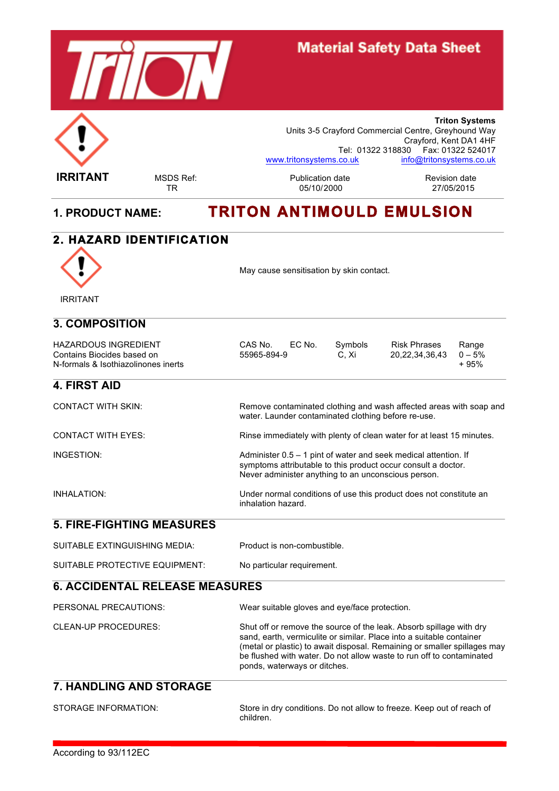

## **Material Safety Data Sheet**

**Triton Systems** Units 3-5 Crayford Commercial Centre, Greyhound Way Crayford, Kent DA1 4HF Tel: 01322 318830 Fax: 01322 524017 www.tritonsystems.co.uk info@tritonsystems.co.uk

**IRRITANT** MSDS Ref: Publication date Revision date TR 05/10/2000 27/05/2015

## **1. PRODUCT NAME: TRITON ANTIMOULD EMULSION**

# **2. HAZARD IDENTIFICATION**  May cause sensitisation by skin contact. IRRITANT **3. COMPOSITION** HAZARDOUS INGREDIENT CAS No. EC No. Symbols Risk Phrases Range<br>Contains Biocides based on 55965-894-9 C, Xi 20,22,34,36,43 0 – 5% Contains Biocides based on  $55965-894-9$   $\therefore$  55965-894-9  $\therefore$  20,22,34,36,43  $0-\overline{5}\%$ <br>N-formals & Isothiazolinones inerts N-formals & Isothiazolinones inerts **4. FIRST AID** CONTACT WITH SKIN: Remove contaminated clothing and wash affected areas with soap and water. Launder contaminated clothing before re-use. CONTACT WITH EYES: Rinse immediately with plenty of clean water for at least 15 minutes. INGESTION: Administer 0.5 – 1 pint of water and seek medical attention. If symptoms attributable to this product occur consult a doctor. Never administer anything to an unconscious person. INHALATION: Under normal conditions of use this product does not constitute an inhalation hazard. **5. FIRE-FIGHTING MEASURES** SUITABLE EXTINGUISHING MEDIA: Product is non-combustible. SUITABLE PROTECTIVE EQUIPMENT: No particular requirement. **6. ACCIDENTAL RELEASE MEASURES** PERSONAL PRECAUTIONS: Wear suitable gloves and eye/face protection.

| CLEAN-UP PROCEDURES: | Shut off or remove the source of the leak. Absorb spillage with dry<br>sand, earth, vermiculite or similar. Place into a suitable container<br>(metal or plastic) to await disposal. Remaining or smaller spillages may<br>be flushed with water. Do not allow waste to run off to contaminated<br>ponds, waterways or ditches. |
|----------------------|---------------------------------------------------------------------------------------------------------------------------------------------------------------------------------------------------------------------------------------------------------------------------------------------------------------------------------|
|                      |                                                                                                                                                                                                                                                                                                                                 |

## **7. HANDLING AND STORAGE**

| STORAGE INFORMATION: | Store in dry conditions. Do not allow to freeze. Keep out of reach of<br>children. |
|----------------------|------------------------------------------------------------------------------------|
|                      |                                                                                    |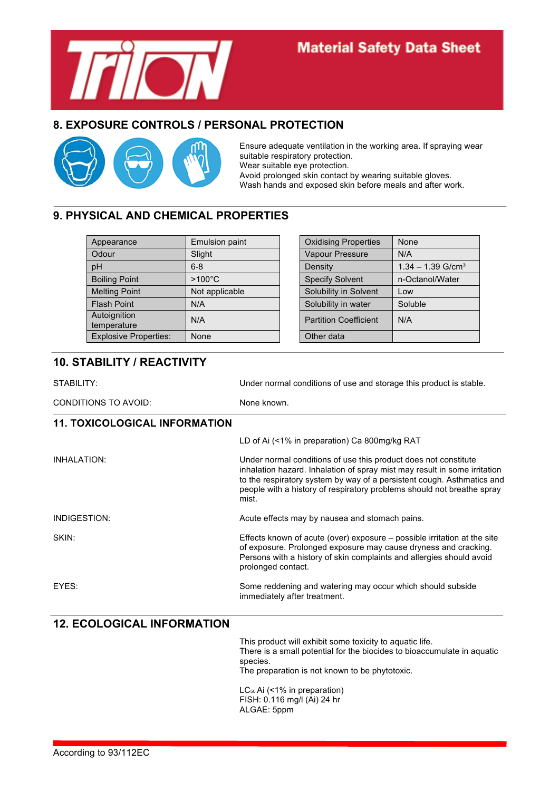

## **Material Safety Data Sheet**

#### **8. EXPOSURE CONTROLS / PERSONAL PROTECTION**



Ensure adequate ventilation in the working area. If spraying wear suitable respiratory protection. Wear suitable eye protection. Avoid prolonged skin contact by wearing suitable gloves. Wash hands and exposed skin before meals and after work.

#### **9. PHYSICAL AND CHEMICAL PROPERTIES**

| Appearance                   | <b>Emulsion paint</b> | <b>Oxidising Properties</b>  | None                            |
|------------------------------|-----------------------|------------------------------|---------------------------------|
| Odour                        | Slight                | Vapour Pressure              | N/A                             |
| pH                           | $6 - 8$               | Density                      | $1.34 - 1.39$ G/cm <sup>3</sup> |
| <b>Boiling Point</b>         | $>100^{\circ}$ C      | <b>Specify Solvent</b>       | n-Octanol/Water                 |
| <b>Melting Point</b>         | Not applicable        | Solubility in Solvent        | Low                             |
| <b>Flash Point</b>           | N/A                   | Solubility in water          | Soluble                         |
| Autoignition<br>temperature  | N/A                   | <b>Partition Coefficient</b> | N/A                             |
| <b>Explosive Properties:</b> | None                  | Other data                   |                                 |

| <b>Oxidising Properties</b>  | None                            |
|------------------------------|---------------------------------|
| <b>Vapour Pressure</b>       | N/A                             |
| Density                      | $1.34 - 1.39$ G/cm <sup>3</sup> |
| <b>Specify Solvent</b>       | n-Octanol/Water                 |
| Solubility in Solvent        | Low                             |
| Solubility in water          | Soluble                         |
| <b>Partition Coefficient</b> | N/A                             |
| Other data                   |                                 |

### **10. STABILITY / REACTIVITY**

| STABILITY:                           | Under normal conditions of use and storage this product is stable.                                                                                                                                                                                                                                        |  |  |
|--------------------------------------|-----------------------------------------------------------------------------------------------------------------------------------------------------------------------------------------------------------------------------------------------------------------------------------------------------------|--|--|
| CONDITIONS TO AVOID:                 | None known.                                                                                                                                                                                                                                                                                               |  |  |
| <b>11. TOXICOLOGICAL INFORMATION</b> |                                                                                                                                                                                                                                                                                                           |  |  |
|                                      | LD of Ai (<1% in preparation) Ca 800mg/kg RAT                                                                                                                                                                                                                                                             |  |  |
| <b>INHALATION:</b>                   | Under normal conditions of use this product does not constitute<br>inhalation hazard. Inhalation of spray mist may result in some irritation<br>to the respiratory system by way of a persistent cough. Asthmatics and<br>people with a history of respiratory problems should not breathe spray<br>mist. |  |  |
| INDIGESTION:                         | Acute effects may by nausea and stomach pains.                                                                                                                                                                                                                                                            |  |  |
| SKIN:                                | Effects known of acute (over) exposure – possible irritation at the site<br>of exposure. Prolonged exposure may cause dryness and cracking.<br>Persons with a history of skin complaints and allergies should avoid<br>prolonged contact.                                                                 |  |  |
| EYES:                                | Some reddening and watering may occur which should subside<br>immediately after treatment.                                                                                                                                                                                                                |  |  |
| <b>12. ECOLOGICAL INFORMATION</b>    |                                                                                                                                                                                                                                                                                                           |  |  |

This product will exhibit some toxicity to aquatic life. There is a small potential for the biocides to bioaccumulate in aquatic species. The preparation is not known to be phytotoxic.

LC<sub>50</sub> Ai (<1% in preparation) FISH: 0.116 mg/l (Ai) 24 hr ALGAE: 5ppm